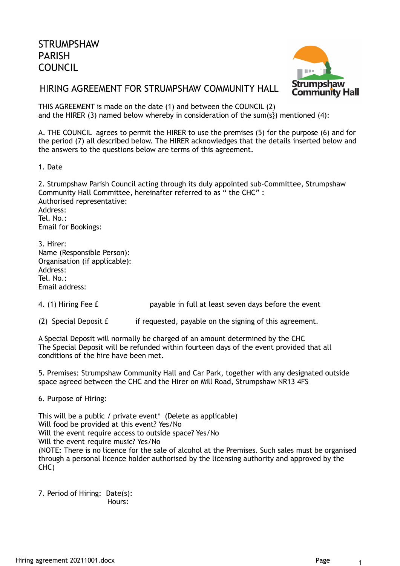

## HIRING AGREEMENT FOR STRUMPSHAW COMMUNITY HALL

THIS AGREEMENT is made on the date (1) and between the COUNCIL (2) and the HIRER (3) named below whereby in consideration of the sum(s}) mentioned (4):

A. THE COUNCIL agrees to permit the HIRER to use the premises (5) for the purpose (6) and for the period (7) all described below. The HIRER acknowledges that the details inserted below and the answers to the questions below are terms of this agreement.

1. Date

2. Strumpshaw Parish Council acting through its duly appointed sub-Committee, Strumpshaw Community Hall Committee, hereinafter referred to as " the CHC" : Authorised representative: Address: Tel. No.: Email for Bookings: 3. Hirer:

Name (Responsible Person): Organisation (if applicable): Address: Tel. No.: Email address:

4. (1) Hiring Fee £ payable in full at least seven days before the event

(2) Special Deposit  $f =$  if requested, payable on the signing of this agreement.

A Special Deposit will normally be charged of an amount determined by the CHC The Special Deposit will be refunded within fourteen days of the event provided that all conditions of the hire have been met.

5. Premises: Strumpshaw Community Hall and Car Park, together with any designated outside space agreed between the CHC and the Hirer on Mill Road, Strumpshaw NR13 4FS

6. Purpose of Hiring:

This will be a public / private event\* (Delete as applicable) Will food be provided at this event? Yes/No Will the event require access to outside space? Yes/No Will the event require music? Yes/No (NOTE: There is no licence for the sale of alcohol at the Premises. Such sales must be organised through a personal licence holder authorised by the licensing authority and approved by the CHC)

7. Period of Hiring: Date(s): Hours: